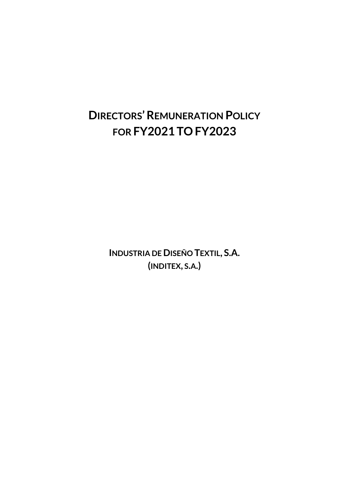# **DIRECTORS'REMUNERATION POLICY FOR FY2021 TOFY2023**

**INDUSTRIA DE DISEÑO TEXTIL, S.A. (INDITEX, S.A.)**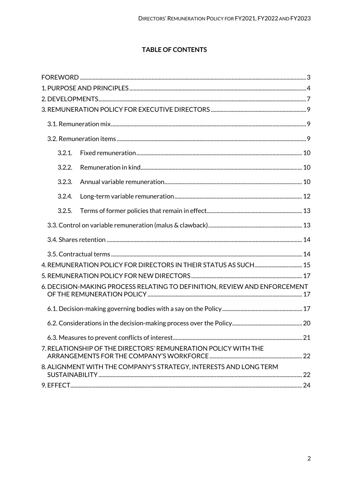# **TABLE OF CONTENTS**

| 3.2.1. |                                                                           |  |
|--------|---------------------------------------------------------------------------|--|
| 3.2.2. |                                                                           |  |
| 3.2.3. |                                                                           |  |
| 3.2.4. |                                                                           |  |
| 3.2.5. |                                                                           |  |
|        |                                                                           |  |
|        |                                                                           |  |
|        |                                                                           |  |
|        | 4. REMUNERATION POLICY FOR DIRECTORS IN THEIR STATUS AS SUCH 15           |  |
|        |                                                                           |  |
|        | 6. DECISION-MAKING PROCESS RELATING TO DEFINITION, REVIEW AND ENFORCEMENT |  |
|        |                                                                           |  |
|        |                                                                           |  |
|        |                                                                           |  |
|        | 7. RELATIONSHIP OF THE DIRECTORS' REMUNERATION POLICY WITH THE            |  |
|        | 8. ALIGNMENT WITH THE COMPANY'S STRATEGY, INTERESTS AND LONG TERM         |  |
|        |                                                                           |  |
|        |                                                                           |  |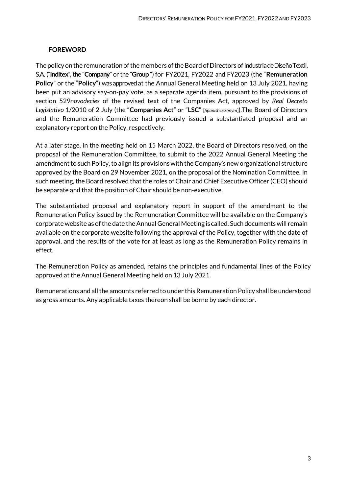#### <span id="page-2-0"></span>**FOREWORD**

The policy on the remuneration of the members of the Board of Directors of Industria de Diseño Textil, S.A. ("**Inditex**", the "**Company**" or the "**Group** ") for FY2021, FY2022 and FY2023 (the "**Remuneration Policy**" or the "**Policy**") was approved at the Annual General Meeting held on 13 July 2021, having been put an advisory say-on-pay vote, as a separate agenda item, pursuant to the provisions of section 529*novodecies* of the revised text of the Companies Act, approved by *Real Decreto Legislativo* 1/2010 of 2 July (the "**Companies Act**" or "**LSC"** [*Spanish acronym*]).The Board of Directors and the Remuneration Committee had previously issued a substantiated proposal and an explanatory report on the Policy, respectively.

At a later stage, in the meeting held on 15 March 2022, the Board of Directors resolved, on the proposal of the Remuneration Committee, to submit to the 2022 Annual General Meeting the amendment to such Policy, to align its provisions with the Company's new organizational structure approved by the Board on 29 November 2021, on the proposal of the Nomination Committee. In such meeting, the Board resolved that the roles of Chair and Chief Executive Officer (CEO) should be separate and that the position of Chair should be non-executive.

The substantiated proposal and explanatory report in support of the amendment to the Remuneration Policy issued by the Remuneration Committee will be available on the Company's corporate website as ofthe date the Annual General Meeting is called. Such documentswill remain available on the corporate website following the approval of the Policy, together with the date of approval, and the results of the vote for at least as long as the Remuneration Policy remains in effect.

The Remuneration Policy as amended, retains the principles and fundamental lines of the Policy approved at the Annual General Meeting held on 13 July 2021.

Remunerations and all the amounts referred to under this Remuneration Policy shall be understood as gross amounts. Any applicable taxes thereon shall be borne by each director.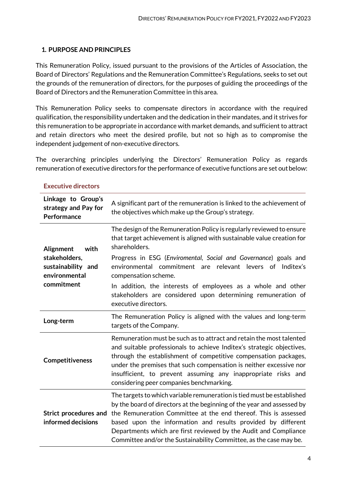# <span id="page-3-0"></span>**1. PURPOSE AND PRINCIPLES**

This Remuneration Policy, issued pursuant to the provisions of the Articles of Association, the Board of Directors' Regulations and the Remuneration Committee's Regulations, seeks to set out the grounds of the remuneration of directors, for the purposes of guiding the proceedings of the Board of Directors and the Remuneration Committee in thisarea.

This Remuneration Policy seeks to compensate directors in accordance with the required qualification, the responsibility undertaken and the dedication in their mandates, and it strives for this remuneration to be appropriate in accordance with market demands, and sufficient to attract and retain directors who meet the desired profile, but not so high as to compromise the independent judgement of non-executive directors.

The overarching principles underlying the Directors' Remuneration Policy as regards remuneration of executive directors for the performance of executive functions are set outbelow:

| Linkage to Group's<br>strategy and Pay for<br>Performance | A significant part of the remuneration is linked to the achievement of<br>the objectives which make up the Group's strategy.                                                                                                                                                                                                                                                                                                  |  |
|-----------------------------------------------------------|-------------------------------------------------------------------------------------------------------------------------------------------------------------------------------------------------------------------------------------------------------------------------------------------------------------------------------------------------------------------------------------------------------------------------------|--|
| <b>Alignment</b><br>with                                  | The design of the Remuneration Policy is regularly reviewed to ensure<br>that target achievement is aligned with sustainable value creation for<br>shareholders.                                                                                                                                                                                                                                                              |  |
| stakeholders,<br>sustainability and<br>environmental      | Progress in ESG (Enviromental, Social and Governance) goals and<br>environmental commitment are relevant levers of<br>Inditex's<br>compensation scheme.                                                                                                                                                                                                                                                                       |  |
| commitment                                                | In addition, the interests of employees as a whole and other<br>stakeholders are considered upon determining remuneration of<br>executive directors.                                                                                                                                                                                                                                                                          |  |
| Long-term                                                 | The Remuneration Policy is aligned with the values and long-term<br>targets of the Company.                                                                                                                                                                                                                                                                                                                                   |  |
| <b>Competitiveness</b>                                    | Remuneration must be such as to attract and retain the most talented<br>and suitable professionals to achieve Inditex's strategic objectives,<br>through the establishment of competitive compensation packages,<br>under the premises that such compensation is neither excessive nor<br>insufficient, to prevent assuming any inappropriate risks and<br>considering peer companies benchmarking.                           |  |
| <b>Strict procedures and</b><br>informed decisions        | The targets to which variable remuneration is tied must be established<br>by the board of directors at the beginning of the year and assessed by<br>the Remuneration Committee at the end thereof. This is assessed<br>based upon the information and results provided by different<br>Departments which are first reviewed by the Audit and Compliance<br>Committee and/or the Sustainability Committee, as the case may be. |  |

#### **Executive directors**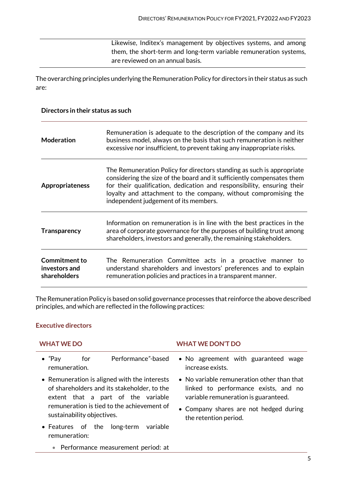Likewise, Inditex's management by objectives systems, and among them, the short-term and long-term variable remuneration systems, are reviewed on an annual basis.

The overarching principles underlying the Remuneration Policy for directors in their status as such are:

#### **Directors in their status as such**

| Moderation                                            | Remuneration is adequate to the description of the company and its<br>business model, always on the basis that such remuneration is neither<br>excessive nor insufficient, to prevent taking any inappropriate risks.                                                                                                                 |
|-------------------------------------------------------|---------------------------------------------------------------------------------------------------------------------------------------------------------------------------------------------------------------------------------------------------------------------------------------------------------------------------------------|
| Appropriateness                                       | The Remuneration Policy for directors standing as such is appropriate<br>considering the size of the board and it sufficiently compensates them<br>for their qualification, dedication and responsibility, ensuring their<br>loyalty and attachment to the company, without compromising the<br>independent judgement of its members. |
| <b>Transparency</b>                                   | Information on remuneration is in line with the best practices in the<br>area of corporate governance for the purposes of building trust among<br>shareholders, investors and generally, the remaining stakeholders.                                                                                                                  |
| <b>Commitment to</b><br>investors and<br>shareholders | The Remuneration Committee acts in a proactive manner to<br>understand shareholders and investors' preferences and to explain<br>remuneration policies and practices in a transparent manner.                                                                                                                                         |

The Remuneration Policy is based on solid governance processes that reinforce the above described principles, and which are reflected in the following practices:

# **Executive directors**

| <b>WHAT WE DO</b>                                                                                                                 | <b>WHAT WE DON'T DO</b>                                                                                                    |  |
|-----------------------------------------------------------------------------------------------------------------------------------|----------------------------------------------------------------------------------------------------------------------------|--|
| $\bullet$ "Pay<br>Performance"-based<br>for<br>remuneration.                                                                      | • No agreement with guaranteed wage<br>increase exists.                                                                    |  |
| • Remuneration is aligned with the interests<br>of shareholders and its stakeholder, to the<br>extent that a part of the variable | • No variable remuneration other than that<br>linked to performance exists, and no<br>variable remuneration is guaranteed. |  |
| remuneration is tied to the achievement of<br>sustainability objectives.                                                          | • Company shares are not hedged during<br>the retention period.                                                            |  |
| variable<br>long-term<br>• Features of the<br>remuneration:                                                                       |                                                                                                                            |  |

• Performance measurement period: at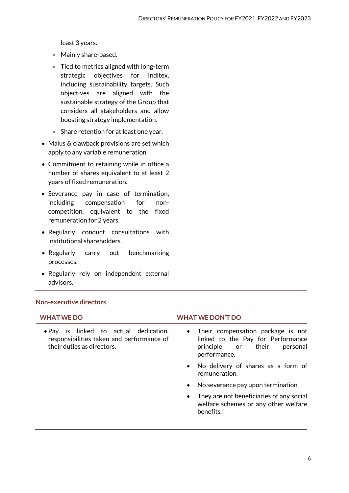least 3 years.

- Mainly share-based.
- Tied to metrics aligned with long-term strategic objectives for Inditex, including sustainability targets. Such objectives are aligned with the sustainable strategy of the Group that considers all stakeholders and allow boosting strategy implementation.
- Share retention for at least one year.
- Malus & clawback provisions are set which apply to any variable remuneration.
- Commitment to retaining while in office a number of shares equivalent to at least 2 years of fixed remuneration.
- Severance pay in case of termination, including compensation for noncompetition, equivalent to the fixed remuneration for 2 years.
- Regularly conduct consultations with institutional shareholders.
- Regularly carry out benchmarking processes.
- Regularly rely on independent external advisors.

#### **Non-executive directors**

• Pay is linked to actual dedication, responsibilities taken and performance of their duties as directors.

#### **WHAT WE DO WHAT WE DON'T DO**

- Their compensation package is not linked to the Pay for Performance principle or their personal performance.
- No delivery of shares as a form of remuneration.
- No severance pay upon termination.
- They are not beneficiaries of any social welfare schemes or any other welfare benefits.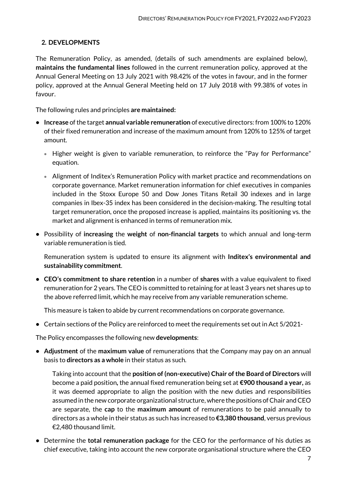# <span id="page-6-0"></span>**2. DEVELOPMENTS**

The Remuneration Policy, as amended, (details of such amendments are explained below), **maintains the fundamental lines** followed in the current remuneration policy, approved at the Annual General Meeting on 13 July 2021 with 98.42% of the votes in favour, and in the former policy, approved at the Annual General Meeting held on 17 July 2018 with 99.38% of votes in favour.

The following rules and principles **are maintained:** 

- **• Increase** ofthe target **annual variable remuneration** of executive directors: from 100% to 120% of their fixed remuneration and increase of the maximum amount from 120% to 125% of target amount.
	- Higher weight is given to variable remuneration, to reinforce the "Pay for Performance" equation.
	- Alignment of Inditex's Remuneration Policy with market practice and recommendations on corporate governance. Market remuneration information for chief executives in companies included in the Stoxx Europe 50 and Dow Jones Titans Retail 30 indexes and in large companies in Ibex-35 index has been considered in the decision-making. The resulting total target remuneration, once the proposed increase is applied, maintains its positioning vs. the market and alignment is enhanced in terms of remuneration mix.
- **•** Possibility of **increasing** the **weight** of **non-financial targets** to which annual and long-term variable remuneration is tied.

Remuneration system is updated to ensure its alignment with **Inditex's environmental and sustainability commitment**.

**• CEO's commitment to share retention** in a number of **shares** with a value equivalent to fixed remuneration for 2 years. The CEO is committed to retaining for at least 3 years net shares up to the above referred limit, which he may receive from any variable remuneration scheme.

This measure is taken to abide by current recommendations on corporate governance.

**•** Certain sections of the Policy are reinforced to meet the requirements set out in Act 5/2021-

The Policy encompasses the following new **developments**:

**• Adjustment** of the **maximum value** of remunerations that the Company may pay on an annual basis to **directors as a whole** in their status as such.

Taking into account that the **position of (non-executive) Chair of the Board of Directors** wil**l**  become a paid position**,** the annual fixed remuneration being set at **€900 thousand a year,** as it was deemed appropriate to align the position with the new duties and responsibilities assumed in the new corporate organizational structure, where the positions of Chair and CEO are separate, the **cap** to the **maximum amount** of remunerations to be paid annually to directors as a whole in their status as such has increased to **€3,380 thousand**, versus previous €2,480 thousand limit.

**•** Determine the **total remuneration package** for the CEO for the performance of his duties as chief executive, taking into account the new corporate organisational structure where the CEO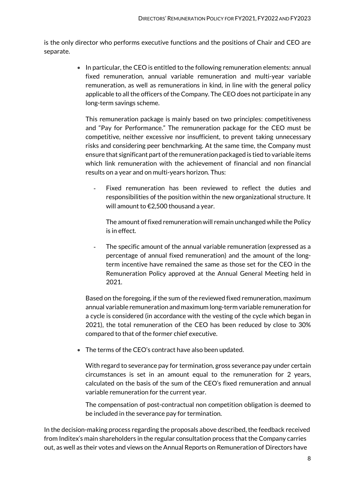is the only director who performs executive functions and the positions of Chair and CEO are separate.

> • In particular, the CEO is entitled to the following remuneration elements: annual fixed remuneration, annual variable remuneration and multi-year variable remuneration, as well as remunerations in kind, in line with the general policy applicable to all the officers of the Company. The CEO does not participate in any long-term savings scheme.

This remuneration package is mainly based on two principles: competitiveness and "Pay for Performance." The remuneration package for the CEO must be competitive, neither excessive nor insufficient, to prevent taking unnecessary risks and considering peer benchmarking. At the same time, the Company must ensure that significant part of the remuneration packaged is tied to variable items which link remuneration with the achievement of financial and non financial results on a year and on multi-years horizon. Thus:

- Fixed remuneration has been reviewed to reflect the duties and responsibilities of the position within the new organizational structure. It will amount to €2,500 thousand a year.

The amount of fixed remuneration will remain unchanged while the Policy is in effect.

The specific amount of the annual variable remuneration (expressed as a percentage of annual fixed remuneration) and the amount of the longterm incentive have remained the same as those set for the CEO in the Remuneration Policy approved at the Annual General Meeting held in 2021.

Based on the foregoing, if the sum of the reviewed fixed remuneration, maximum annual variable remuneration and maximum long-term variable remuneration for a cycle is considered (in accordance with the vesting of the cycle which began in 2021), the total remuneration of the CEO has been reduced by close to 30% compared to that of the former chief executive.

• The terms of the CEO's contract have also been updated.

With regard to severance pay for termination, gross severance pay under certain circumstances is set in an amount equal to the remuneration for 2 years, calculated on the basis of the sum of the CEO's fixed remuneration and annual variable remuneration for the current year.

The compensation of post-contractual non competition obligation is deemed to be included in the severance pay for termination.

In the decision-making process regarding the proposals above described, the feedback received from Inditex's main shareholders in the regular consultation process that the Company carries out, as well as their votes and views on the Annual Reports on Remuneration of Directors have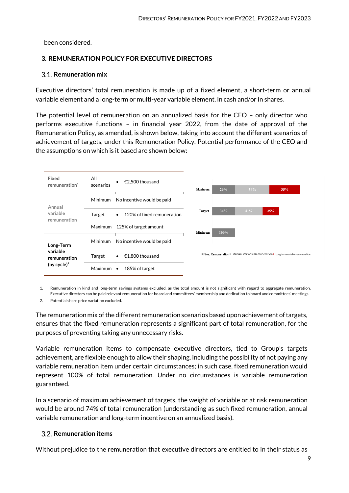been considered.

# <span id="page-8-0"></span>**3. REMUNERATION POLICY FOR EXECUTIVE DIRECTORS**

# <span id="page-8-1"></span>**Remuneration mix**

Executive directors' total remuneration is made up of a fixed element, a short-term or annual variable element and a long-term or multi-year variable element, in cash and/or in shares.

The potential level of remuneration on an annualized basis for the CEO – only director who performs executive functions – in financial year 2022, from the date of approval of the Remuneration Policy, as amended, is shown below, taking into account the different scenarios of achievement of targets, under this Remuneration Policy. Potential performance of the CEO and the assumptions on which is it based are shown below:



1. Remuneration in kind and long-term savings systems excluded, as the total amount is not significant with regard to aggregate remuneration. Executive directors can be paid relevant remuneration for board and committees' membership and dedication to board and committees' meetings.

2. Potential share price variation excluded.

The remuneration mix of the different remuneration scenarios based upon achievement of targets, ensures that the fixed remuneration represents a significant part of total remuneration, for the purposes of preventing taking any unnecessary risks.

Variable remuneration items to compensate executive directors, tied to Group's targets achievement, are flexible enough to allow their shaping, including the possibility of not paying any variable remuneration item under certain circumstances; in such case, fixed remuneration would represent 100% of total remuneration. Under no circumstances is variable remuneration guaranteed.

In a scenario of maximum achievement of targets, the weight of variable or at risk remuneration would be around 74% of total remuneration (understanding as such fixed remuneration, annual variable remuneration and long-term incentive on an annualized basis).

# <span id="page-8-2"></span>**Remuneration items**

Without prejudice to the remuneration that executive directors are entitled to in their status as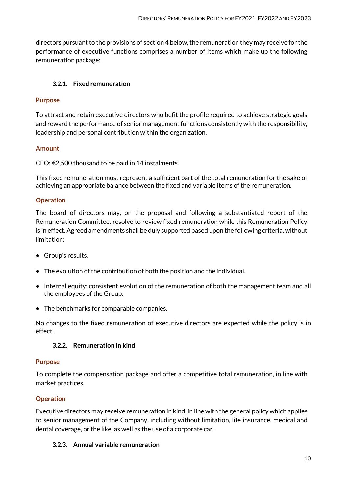directors pursuant to the provisions of section 4 below, the remuneration they may receive for the performance of executive functions comprises a number of items which make up the following remuneration package:

# <span id="page-9-0"></span>**3.2.1. Fixed remuneration**

#### **Purpose**

To attract and retain executive directors who befit the profile required to achieve strategic goals and reward the performance of senior management functions consistently with the responsibility, leadership and personal contribution within the organization.

#### **Amount**

CEO: €2,500 thousand to be paid in 14 instalments.

This fixed remuneration must represent a sufficient part of the total remuneration for the sake of achieving an appropriate balance between the fixed and variable items of the remuneration.

#### **Operation**

The board of directors may, on the proposal and following a substantiated report of the Remuneration Committee, resolve to review fixed remuneration while this Remuneration Policy is in effect. Agreed amendments shall be duly supported based upon the following criteria, without limitation:

- **•** Group's results.
- **•** The evolution of the contribution of both the position and the individual.
- **•** Internal equity: consistent evolution of the remuneration of both the management team and all the employees of the Group.
- **•** The benchmarks for comparable companies.

<span id="page-9-1"></span>No changes to the fixed remuneration of executive directors are expected while the policy is in effect.

#### **3.2.2. Remuneration in kind**

#### **Purpose**

To complete the compensation package and offer a competitive total remuneration, in line with market practices.

#### **Operation**

Executive directors may receive remuneration in kind, in line with the general policy which applies to senior management of the Company, including without limitation, life insurance, medical and dental coverage, or the like, as well as the use of a corporate car.

#### <span id="page-9-2"></span>**3.2.3. Annual variable remuneration**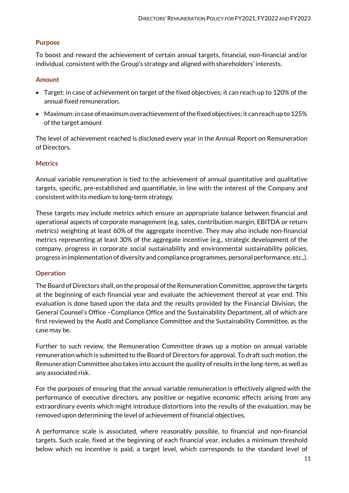# **Purpose**

To boost and reward the achievement of certain annual targets, financial, non-financial and/or individual, consistent with the Group's strategy and aligned with shareholders' interests.

#### **Amount**

- Target: in case of achievement on target of the fixed objectives; it can reach up to 120% of the annual fixed remuneration.
- Maximum: in case of maximum overachievement of the fixed objectives; it can reach up to 125% of the target amount

The level of achievement reached is disclosed every year in the Annual Report on Remuneration of Directors.

#### **Metrics**

Annual variable remuneration is tied to the achievement of annual quantitative and qualitative targets, specific, pre-established and quantifiable, in line with the interest of the Company and consistent with its medium to long-term strategy.

These targets may include metrics which ensure an appropriate balance between financial and operational aspects of corporate management (e.g. sales, contribution margin, EBITDA or return metrics) weighting at least 60% of the aggregate incentive. They may also include non-financial metrics representing at least 30% of the aggregate incentive (e.g., strategic development of the company, progress in corporate social sustainability and environmental sustainability policies, progress in implementation of diversity and compliance programmes, personal performance, etc.,).

#### **Operation**

The Board of Directors shall, on the proposal of the Remuneration Committee, approve the targets at the beginning of each financial year and evaluate the achievement thereof at year end. This evaluation is done based upon the data and the results provided by the Financial Division, the General Counsel's Office –Compliance Office and the Sustainability Department, all of which are first reviewed by the Audit and Compliance Committee and the Sustainability Committee, as the case may be.

Further to such review, the Remuneration Committee draws up a motion on annual variable remuneration which is submitted to the Board of Directors for approval. To draft such motion, the Remuneration Committee also takes into account the quality of results in the long-term, as well as any associated risk.

For the purposes of ensuring that the annual variable remuneration is effectively aligned with the performance of executive directors, any positive or negative economic effects arising from any extraordinary events which might introduce distortions into the results of the evaluation, may be removed upon determining the level of achievement of financial objectives.

A performance scale is associated, where reasonably possible, to financial and non-financial targets. Such scale, fixed at the beginning of each financial year, includes a minimum threshold below which no incentive is paid, a target level, which corresponds to the standard level of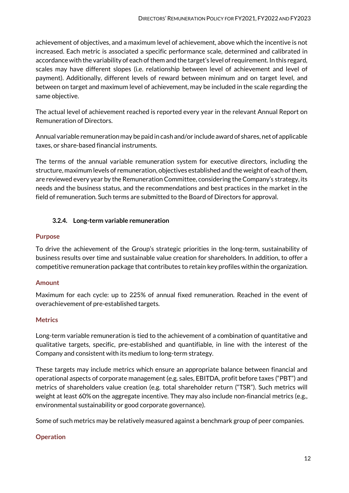achievement of objectives, and a maximum level of achievement, above which the incentive is not increased. Each metric is associated a specific performance scale, determined and calibrated in accordance with the variability of each of them and the target's level of requirement. In this regard, scales may have different slopes (i.e. relationship between level of achievement and level of payment). Additionally, different levels of reward between minimum and on target level, and between on target and maximum level of achievement, may be included in the scale regarding the same objective.

The actual level of achievement reached is reported every year in the relevant Annual Report on Remuneration of Directors.

Annual variable remuneration may be paid in cash and/or include award of shares, net of applicable taxes, or share-based financial instruments.

The terms of the annual variable remuneration system for executive directors, including the structure, maximum levels of remuneration, objectives established and the weight of each of them, are reviewed every year by the Remuneration Committee, considering the Company's strategy, its needs and the business status, and the recommendations and best practices in the market in the field of remuneration. Such terms are submitted to the Board of Directors for approval.

# <span id="page-11-0"></span>**3.2.4. Long-term variable remuneration**

# **Purpose**

To drive the achievement of the Group's strategic priorities in the long-term, sustainability of business results over time and sustainable value creation for shareholders. In addition, to offer a competitive remuneration package that contributes to retain key profiles within the organization.

# **Amount**

Maximum for each cycle: up to 225% of annual fixed remuneration. Reached in the event of overachievement of pre-established targets.

# **Metrics**

Long-term variable remuneration is tied to the achievement of a combination of quantitative and qualitative targets, specific, pre-established and quantifiable, in line with the interest of the Company and consistent with its medium to long-term strategy.

These targets may include metrics which ensure an appropriate balance between financial and operational aspects of corporate management (e.g. sales, EBITDA, profit before taxes ("PBT") and metrics of shareholders value creation (e.g. total shareholder return ("TSR"). Such metrics will weight at least 60% on the aggregate incentive. They may also include non-financial metrics (e.g., environmental sustainability or good corporate governance).

Some of such metrics may be relatively measured against a benchmark group of peer companies.

# **Operation**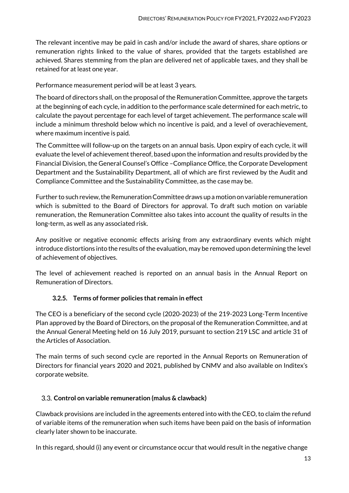The relevant incentive may be paid in cash and/or include the award of shares, share options or remuneration rights linked to the value of shares, provided that the targets established are achieved. Shares stemming from the plan are delivered net of applicable taxes, and they shall be retained for at least one year.

Performance measurement period will be at least 3 years.

The board of directors shall, on the proposal of the Remuneration Committee, approve the targets at the beginning of each cycle, in addition to the performance scale determined for each metric, to calculate the payout percentage for each level of target achievement. The performance scale will include a minimum threshold below which no incentive is paid, and a level of overachievement, where maximum incentive is paid.

The Committee will follow-up on the targets on an annual basis. Upon expiry of each cycle, it will evaluate the level of achievement thereof, based upon the information and results provided by the Financial Division, the General Counsel's Office –Compliance Office, the Corporate Development Department and the Sustainability Department, all of which are first reviewed by the Audit and Compliance Committee and the Sustainability Committee, as the case may be.

Further to such review, the Remuneration Committee draws up a motion on variable remuneration which is submitted to the Board of Directors for approval. To draft such motion on variable remuneration, the Remuneration Committee also takes into account the quality of results in the long-term, as well as any associated risk.

Any positive or negative economic effects arising from any extraordinary events which might introduce distortions into the results of the evaluation, may be removed upon determining the level of achievement of objectives.

<span id="page-12-0"></span>The level of achievement reached is reported on an annual basis in the Annual Report on Remuneration of Directors.

# **3.2.5. Terms of former policies that remain in effect**

The CEO is a beneficiary of the second cycle (2020-2023) of the 219-2023 Long-Term Incentive Plan approved by the Board of Directors, on the proposal of the Remuneration Committee, and at the Annual General Meeting held on 16 July 2019, pursuant to section 219 LSC and article 31 of the Articles of Association.

The main terms of such second cycle are reported in the Annual Reports on Remuneration of Directors for financial years 2020 and 2021, published by CNMV and also available on Inditex's corporate website.

# <span id="page-12-1"></span>**Control on variable remuneration (malus & clawback)**

Clawback provisions are included in the agreements entered into with the CEO, to claim the refund of variable items of the remuneration when such items have been paid on the basis of information clearly later shown to be inaccurate.

In this regard, should (i) any event or circumstance occur that would result in the negative change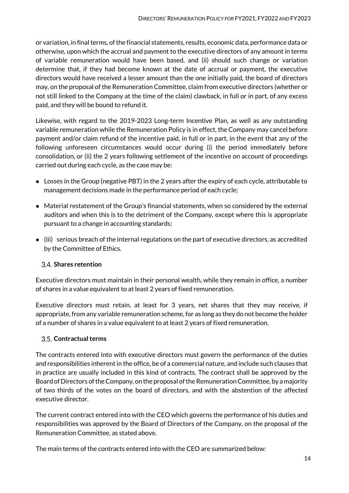or variation, in final terms, of the financial statements, results, economic data, performance data or otherwise, upon which the accrual and payment to the executive directors of any amount in terms of variable remuneration would have been based, and (ii) should such change or variation determine that, if they had become known at the date of accrual or payment, the executive directors would have received a lesser amount than the one initially paid, the board of directors may, on the proposal of the Remuneration Committee, claim from executive directors (whether or not still linked to the Company at the time of the claim) clawback, in full or in part, of any excess paid, and they will be bound to refund it.

Likewise, with regard to the 2019-2023 Long-term Incentive Plan, as well as any outstanding variable remuneration while the Remuneration Policy is in effect, the Company may cancel before payment and/or claim refund of the incentive paid, in full or in part, in the event that any of the following unforeseen circumstances would occur during (i) the period immediately before consolidation, or (ii) the 2 years following settlement of the incentive on account of proceedings carried out during each cycle, as the case may be:

- Losses in the Group (negative PBT) in the 2 years after the expiry of each cycle, attributable to management decisions made in the performance period of each cycle;
- Material restatement of the Group's financial statements, when so considered by the external auditors and when this is to the detriment of the Company, except where this is appropriate pursuant to a change in accounting standards;
- $\bullet$  (iii) serious breach of the internal regulations on the part of executive directors, as accredited by the Committee of Ethics.

# <span id="page-13-0"></span>**Shares retention**

Executive directors must maintain in their personal wealth, while they remain in office, a number of shares in a value equivalent to at least 2 years of fixed remuneration.

Executive directors must retain, at least for 3 years, net shares that they may receive, if appropriate, from any variable remuneration scheme, for as long as they do not become the holder of a number of shares in a value equivalent to at least 2 years of fixed remuneration.

# <span id="page-13-1"></span>**Contractual terms**

The contracts entered into with executive directors must govern the performance of the duties and responsibilities inherent in the office, be of a commercial nature, and include such clauses that in practice are usually included in this kind of contracts. The contract shall be approved by the Board of Directors of the Company, on the proposal of the Remuneration Committee, by a majority of two thirds of the votes on the board of directors, and with the abstention of the affected executive director.

The current contract entered into with the CEO which governs the performance of his duties and responsibilities was approved by the Board of Directors of the Company, on the proposal of the Remuneration Committee, as stated above.

The main terms of the contracts entered into with the CEO are summarized below: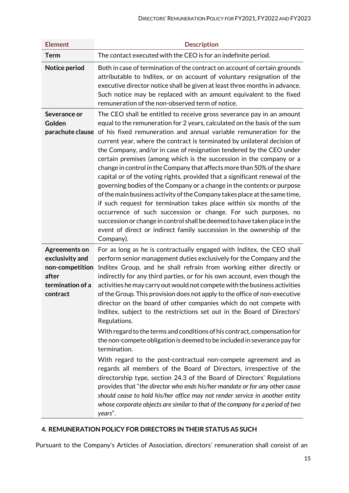| <b>Element</b>                                                                                      | <b>Description</b>                                                                                                                                                                                                                                                                                                                                                                                                                                                                                                                                                                                                                                                                                                                                                                                                                                                                                                                                                                                                                                                                                                                                                                                                                                                                       |
|-----------------------------------------------------------------------------------------------------|------------------------------------------------------------------------------------------------------------------------------------------------------------------------------------------------------------------------------------------------------------------------------------------------------------------------------------------------------------------------------------------------------------------------------------------------------------------------------------------------------------------------------------------------------------------------------------------------------------------------------------------------------------------------------------------------------------------------------------------------------------------------------------------------------------------------------------------------------------------------------------------------------------------------------------------------------------------------------------------------------------------------------------------------------------------------------------------------------------------------------------------------------------------------------------------------------------------------------------------------------------------------------------------|
| Term                                                                                                | The contact executed with the CEO is for an indefinite period.                                                                                                                                                                                                                                                                                                                                                                                                                                                                                                                                                                                                                                                                                                                                                                                                                                                                                                                                                                                                                                                                                                                                                                                                                           |
| Notice period                                                                                       | Both in case of termination of the contract on account of certain grounds<br>attributable to Inditex, or on account of voluntary resignation of the<br>executive director notice shall be given at least three months in advance.<br>Such notice may be replaced with an amount equivalent to the fixed<br>remuneration of the non-observed term of notice.                                                                                                                                                                                                                                                                                                                                                                                                                                                                                                                                                                                                                                                                                                                                                                                                                                                                                                                              |
| Severance or<br>Golden                                                                              | The CEO shall be entitled to receive gross severance pay in an amount<br>equal to the remuneration for 2 years, calculated on the basis of the sum<br>parachute clause of his fixed remuneration and annual variable remuneration for the<br>current year, where the contract is terminated by unilateral decision of<br>the Company, and/or in case of resignation tendered by the CEO under<br>certain premises (among which is the succession in the company or a<br>change in control in the Company that affects more than 50% of the share<br>capital or of the voting rights, provided that a significant renewal of the<br>governing bodies of the Company or a change in the contents or purpose<br>of the main business activity of the Company takes place at the same time,<br>if such request for termination takes place within six months of the<br>occurrence of such succession or change. For such purposes, no<br>succession or change in control shall be deemed to have taken place in the<br>event of direct or indirect family succession in the ownership of the<br>Company).                                                                                                                                                                                    |
| <b>Agreements on</b><br>exclusivity and<br>non-competition<br>after<br>termination of a<br>contract | For as long as he is contractually engaged with Inditex, the CEO shall<br>perform senior management duties exclusively for the Company and the<br>Inditex Group, and he shall refrain from working either directly or<br>indirectly for any third parties, or for his own account, even though the<br>activities he may carry out would not compete with the business activities<br>of the Group. This provision does not apply to the office of non-executive<br>director on the board of other companies which do not compete with<br>Inditex, subject to the restrictions set out in the Board of Directors'<br>Regulations.<br>With regard to the terms and conditions of his contract, compensation for<br>the non-compete obligation is deemed to be included in severance pay for<br>termination.<br>With regard to the post-contractual non-compete agreement and as<br>regards all members of the Board of Directors, irrespective of the<br>directorship type, section 24.3 of the Board of Directors' Regulations<br>provides that "the director who ends his/her mandate or for any other cause<br>should cease to hold his/her office may not render service in another entity<br>whose corporate objects are similar to that of the company for a period of two<br>years". |

# <span id="page-14-0"></span>**4. REMUNERATION POLICY FOR DIRECTORS IN THEIR STATUS AS SUCH**

Pursuant to the Company's Articles of Association, directors' remuneration shall consist of an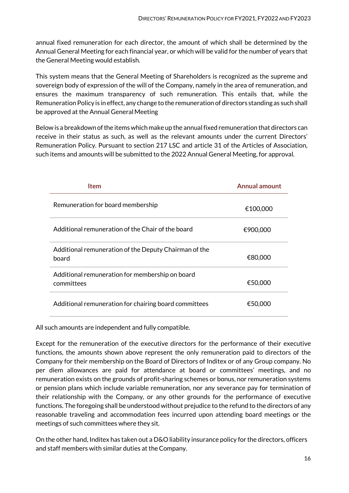annual fixed remuneration for each director, the amount of which shall be determined by the Annual General Meeting for each financial year, or which will be valid for the number of years that the General Meeting would establish.

This system means that the General Meeting of Shareholders is recognized as the supreme and sovereign body of expression of the will of the Company, namely in the area of remuneration, and ensures the maximum transparency of such remuneration. This entails that, while the Remuneration Policy is in effect, any change to the remuneration of directors standing as such shall be approved at the Annual General Meeting

Below is a breakdown of the items which make up the annual fixed remuneration that directors can receive in their status as such, as well as the relevant amounts under the current Directors' Remuneration Policy. Pursuant to section 217 LSC and article 31 of the Articles of Association, such items and amounts will be submitted to the 2022 Annual General Meeting, for approval.

| ltem                                                           | <b>Annual amount</b> |
|----------------------------------------------------------------|----------------------|
| Remuneration for board membership                              | €100,000             |
| Additional remuneration of the Chair of the board              | €900,000             |
| Additional remuneration of the Deputy Chairman of the<br>board | €80,000              |
| Additional remuneration for membership on board<br>committees  | €50,000              |
| Additional remuneration for chairing board committees          | €50,000              |

All such amounts are independent and fully compatible.

Except for the remuneration of the executive directors for the performance of their executive functions, the amounts shown above represent the only remuneration paid to directors of the Company for their membership on the Board of Directors of Inditex or of any Group company. No per diem allowances are paid for attendance at board or committees' meetings, and no remuneration exists on the grounds of profit-sharing schemes or bonus, nor remuneration systems or pension plans which include variable remuneration, nor any severance pay for termination of their relationship with the Company, or any other grounds for the performance of executive functions. The foregoing shall be understood without prejudice to the refund to the directors of any reasonable traveling and accommodation fees incurred upon attending board meetings or the meetings of such committees where they sit.

On the other hand, Inditex has taken out a D&O liability insurance policy for the directors, officers and staff members with similar duties at theCompany.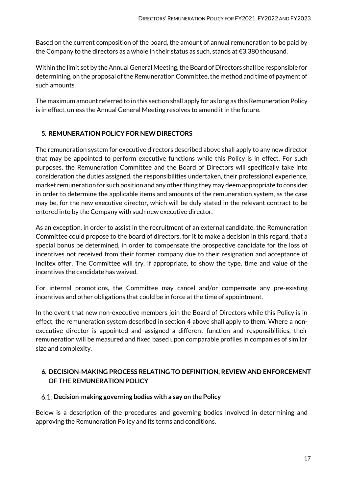Based on the current composition of the board, the amount of annual remuneration to be paid by the Company to the directors as a whole in their status as such, stands at  $\epsilon$ 3,380 thousand.

Within the limit set by the Annual General Meeting, the Board of Directors shall be responsible for determining, on the proposal of the Remuneration Committee, the method and time of payment of such amounts.

The maximum amount referred to in this section shall apply for as long as this Remuneration Policy is in effect, unless the Annual General Meeting resolves to amend it in the future.

# <span id="page-16-0"></span>**5. REMUNERATION POLICY FOR NEW DIRECTORS**

The remuneration system for executive directors described above shall apply to any new director that may be appointed to perform executive functions while this Policy is in effect. For such purposes, the Remuneration Committee and the Board of Directors will specifically take into consideration the duties assigned, the responsibilities undertaken, their professional experience, market remuneration for such position and any other thing they may deem appropriate to consider in order to determine the applicable items and amounts of the remuneration system, as the case may be, for the new executive director, which will be duly stated in the relevant contract to be entered into by the Company with such new executive director.

As an exception, in order to assist in the recruitment of an external candidate, the Remuneration Committee could propose to the board of directors, for it to make a decision in this regard, that a special bonus be determined, in order to compensate the prospective candidate for the loss of incentives not received from their former company due to their resignation and acceptance of Inditex offer. The Committee will try, if appropriate, to show the type, time and value of the incentives the candidate has waived.

For internal promotions, the Committee may cancel and/or compensate any pre-existing incentives and other obligations that could be in force at the time of appointment.

In the event that new non-executive members join the Board of Directors while this Policy is in effect, the remuneration system described in section 4 above shall apply to them. Where a nonexecutive director is appointed and assigned a different function and responsibilities, their remuneration will be measured and fixed based upon comparable profiles in companies of similar size and complexity.

# <span id="page-16-1"></span>**6. DECISION-MAKING PROCESS RELATING TO DEFINITION, REVIEW AND ENFORCEMENT OF THE REMUNERATION POLICY**

#### <span id="page-16-2"></span>**Decision-making governing bodies with a say on the Policy**

Below is a description of the procedures and governing bodies involved in determining and approving the Remuneration Policy and its terms and conditions.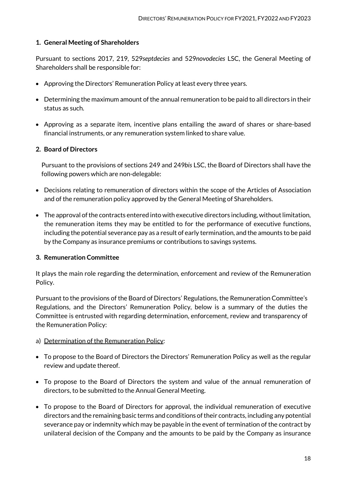#### **1. General Meeting of Shareholders**

Pursuant to sections 2017, 219, 529*septdecies* and 529*novodecies* LSC, the General Meeting of Shareholders shall be responsible for:

- Approving the Directors' Remuneration Policy at least every three years.
- Determining the maximum amount of the annual remuneration to be paid to all directors in their status as such.
- Approving as a separate item, incentive plans entailing the award of shares or share-based financial instruments, or any remuneration system linked to share value.

# **2. Board of Directors**

Pursuant to the provisions of sections 249 and 249*bis* LSC, the Board of Directors shall have the following powers which are non-delegable:

- Decisions relating to remuneration of directors within the scope of the Articles of Association and of the remuneration policy approved by the General Meeting of Shareholders.
- The approval of the contracts entered into with executive directors including, without limitation, the remuneration items they may be entitled to for the performance of executive functions, including the potential severance pay as a result of early termination, and the amounts to be paid by the Company as insurance premiums or contributions to savings systems.

#### **3. Remuneration Committee**

It plays the main role regarding the determination, enforcement and review of the Remuneration Policy.

Pursuant to the provisions of the Board of Directors' Regulations, the Remuneration Committee's Regulations, and the Directors' Remuneration Policy, below is a summary of the duties the Committee is entrusted with regarding determination, enforcement, review and transparency of the Remuneration Policy:

- a) Determination of the Remuneration Policy:
- To propose to the Board of Directors the Directors' Remuneration Policy as well as the regular review and update thereof.
- To propose to the Board of Directors the system and value of the annual remuneration of directors, to be submitted to the Annual General Meeting.
- To propose to the Board of Directors for approval, the individual remuneration of executive directors and the remaining basic terms and conditions of their contracts, including any potential severance pay or indemnity which may be payable in the event of termination of the contract by unilateral decision of the Company and the amounts to be paid by the Company as insurance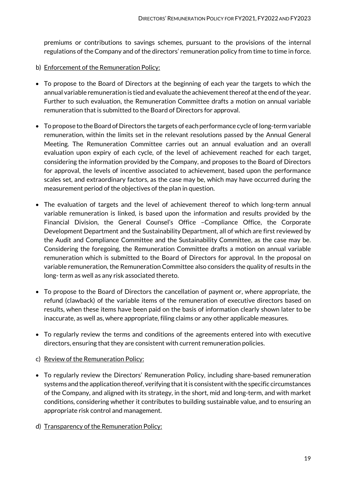premiums or contributions to savings schemes, pursuant to the provisions of the internal regulations of the Company and of the directors' remuneration policy from time to time in force.

- b) Enforcement of the Remuneration Policy:
- To propose to the Board of Directors at the beginning of each year the targets to which the annual variable remuneration is tied and evaluate the achievement thereof at the end of the year. Further to such evaluation, the Remuneration Committee drafts a motion on annual variable remuneration that is submitted to the Board of Directors for approval.
- To propose to the Board of Directors the targets of each performance cycle of long-term variable remuneration, within the limits set in the relevant resolutions passed by the Annual General Meeting. The Remuneration Committee carries out an annual evaluation and an overall evaluation upon expiry of each cycle, of the level of achievement reached for each target, considering the information provided by the Company, and proposes to the Board of Directors for approval, the levels of incentive associated to achievement, based upon the performance scales set, and extraordinary factors, as the case may be, which may have occurred during the measurement period of the objectives of the plan in question.
- The evaluation of targets and the level of achievement thereof to which long-term annual variable remuneration is linked, is based upon the information and results provided by the Financial Division, the General Counsel's Office –Compliance Office, the Corporate Development Department and the Sustainability Department, all of which are first reviewed by the Audit and Compliance Committee and the Sustainability Committee, as the case may be. Considering the foregoing, the Remuneration Committee drafts a motion on annual variable remuneration which is submitted to the Board of Directors for approval. In the proposal on variable remuneration, the Remuneration Committee also considers the quality of results in the long- term as well as any risk associated thereto.
- To propose to the Board of Directors the cancellation of payment or, where appropriate, the refund (clawback) of the variable items of the remuneration of executive directors based on results, when these items have been paid on the basis of information clearly shown later to be inaccurate, as well as, where appropriate, filing claims or any other applicable measures.
- To regularly review the terms and conditions of the agreements entered into with executive directors, ensuring that they are consistent with current remuneration policies.
- c) Review of the Remuneration Policy:
- To regularly review the Directors' Remuneration Policy, including share-based remuneration systems and the application thereof, verifying that it is consistent with the specific circumstances of the Company, and aligned with its strategy, in the short, mid and long-term, and with market conditions, considering whether it contributes to building sustainable value, and to ensuring an appropriate risk control and management.
- d) Transparency of the Remuneration Policy: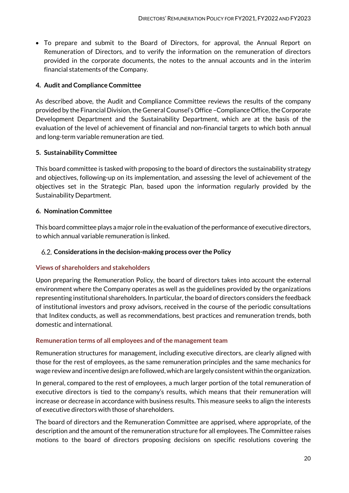• To prepare and submit to the Board of Directors, for approval, the Annual Report on Remuneration of Directors, and to verify the information on the remuneration of directors provided in the corporate documents, the notes to the annual accounts and in the interim financial statements of the Company.

#### **4. Audit and Compliance Committee**

As described above, the Audit and Compliance Committee reviews the results of the company provided by the Financial Division, the General Counsel's Office –Compliance Office, the Corporate Development Department and the Sustainability Department, which are at the basis of the evaluation of the level of achievement of financial and non-financial targets to which both annual and long-term variable remuneration are tied.

# **5. Sustainability Committee**

This board committee is tasked with proposing to the board of directors the sustainability strategy and objectives, following-up on its implementation, and assessing the level of achievement of the objectives set in the Strategic Plan, based upon the information regularly provided by the Sustainability Department.

# **6. Nomination Committee**

This board committee plays a major role in the evaluation of the performance of executive directors, to which annual variable remuneration is linked.

#### <span id="page-19-0"></span>**Considerations in the decision-making process over the Policy**

#### **Views of shareholders and stakeholders**

Upon preparing the Remuneration Policy, the board of directors takes into account the external environment where the Company operates as well as the guidelines provided by the organizations representing institutional shareholders. In particular, the board of directors considers the feedback of institutional investors and proxy advisors, received in the course of the periodic consultations that Inditex conducts, as well as recommendations, best practices and remuneration trends, both domestic and international.

#### **Remuneration terms of all employees and of the management team**

Remuneration structures for management, including executive directors, are clearly aligned with those for the rest of employees, as the same remuneration principles and the same mechanics for wage review and incentive design are followed, which are largely consistent within the organization.

In general, compared to the rest of employees, a much larger portion of the total remuneration of executive directors is tied to the company's results, which means that their remuneration will increase or decrease in accordance with business results. This measure seeks to align the interests of executive directors with those of shareholders.

The board of directors and the Remuneration Committee are apprised, where appropriate, of the description and the amount of the remuneration structure for all employees. The Committee raises motions to the board of directors proposing decisions on specific resolutions covering the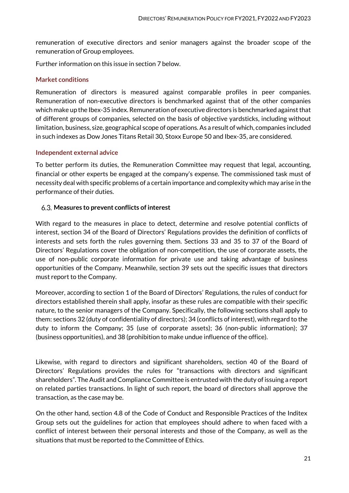remuneration of executive directors and senior managers against the broader scope of the remuneration of Group employees.

Further information on this issue in section 7 below.

#### **Market conditions**

Remuneration of directors is measured against comparable profiles in peer companies. Remuneration of non-executive directors is benchmarked against that of the other companies which make up the Ibex-35 index. Remuneration of executive directors is benchmarked against that of different groups of companies, selected on the basis of objective yardsticks, including without limitation, business, size, geographical scope of operations. As a result of which, companies included in such indexes as Dow Jones Titans Retail 30, Stoxx Europe 50 and Ibex-35, are considered.

#### **Independent external advice**

To better perform its duties, the Remuneration Committee may request that legal, accounting, financial or other experts be engaged at the company's expense. The commissioned task must of necessity deal with specific problems of a certain importance and complexity which may arise in the performance of their duties.

#### <span id="page-20-0"></span>**Measures to prevent conflicts of interest**

With regard to the measures in place to detect, determine and resolve potential conflicts of interest, section 34 of the Board of Directors' Regulations provides the definition of conflicts of interests and sets forth the rules governing them. Sections 33 and 35 to 37 of the Board of Directors' Regulations cover the obligation of non-competition, the use of corporate assets, the use of non-public corporate information for private use and taking advantage of business opportunities of the Company. Meanwhile, section 39 sets out the specific issues that directors must report to the Company.

Moreover, according to section 1 of the Board of Directors' Regulations, the rules of conduct for directors established therein shall apply, insofar as these rules are compatible with their specific nature, to the senior managers of the Company. Specifically, the following sections shall apply to them: sections 32 (duty of confidentiality of directors); 34 (conflicts of interest), with regard to the duty to inform the Company; 35 (use of corporate assets); 36 (non-public information); 37 (business opportunities), and 38 (prohibition to make undue influence of the office).

Likewise, with regard to directors and significant shareholders, section 40 of the Board of Directors' Regulations provides the rules for "transactions with directors and significant shareholders". The Audit and Compliance Committee is entrusted with the duty of issuing a report on related parties transactions. In light of such report, the board of directors shall approve the transaction, as the case may be.

On the other hand, section 4.8 of the Code of Conduct and Responsible Practices of the Inditex Group sets out the guidelines for action that employees should adhere to when faced with a conflict of interest between their personal interests and those of the Company, as well as the situations that must be reported to the Committee of Ethics.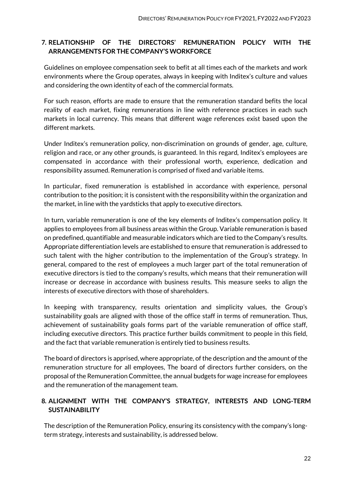# <span id="page-21-0"></span>**7. RELATIONSHIP OF THE DIRECTORS' REMUNERATION POLICY WITH THE ARRANGEMENTS FOR THE COMPANY'S WORKFORCE**

Guidelines on employee compensation seek to befit at all times each of the markets and work environments where the Group operates, always in keeping with Inditex's culture and values and considering the own identity of each of the commercial formats.

For such reason, efforts are made to ensure that the remuneration standard befits the local reality of each market, fixing remunerations in line with reference practices in each such markets in local currency. This means that different wage references exist based upon the different markets.

Under Inditex's remuneration policy, non-discrimination on grounds of gender, age, culture, religion and race, or any other grounds, is guaranteed. In this regard, Inditex's employees are compensated in accordance with their professional worth, experience, dedication and responsibility assumed. Remuneration is comprised of fixed and variable items.

In particular, fixed remuneration is established in accordance with experience, personal contribution to the position; it is consistent with the responsibility within the organization and the market, in line with the yardsticks that apply to executive directors.

In turn, variable remuneration is one of the key elements of Inditex's compensation policy. It applies to employees from all business areas within the Group. Variable remuneration is based on predefined, quantifiable and measurable indicators which are tied to the Company's results. Appropriate differentiation levels are established to ensure that remuneration is addressed to such talent with the higher contribution to the implementation of the Group's strategy. In general, compared to the rest of employees a much larger part of the total remuneration of executive directors is tied to the company's results, which means that their remuneration will increase or decrease in accordance with business results. This measure seeks to align the interests of executive directors with those of shareholders.

In keeping with transparency, results orientation and simplicity values, the Group's sustainability goals are aligned with those of the office staff in terms of remuneration. Thus, achievement of sustainability goals forms part of the variable remuneration of office staff, including executive directors. This practice further builds commitment to people in this field, and the fact that variable remuneration is entirely tied to business results.

The board of directors is apprised, where appropriate, of the description and the amount of the remuneration structure for all employees, The board of directors further considers, on the proposal of the Remuneration Committee, the annual budgets for wage increase for employees and the remuneration of the management team.

# <span id="page-21-1"></span>**8. ALIGNMENT WITH THE COMPANY'S STRATEGY, INTERESTS AND LONG-TERM SUSTAINABILITY**

The description of the Remuneration Policy, ensuring its consistency with the company's longterm strategy, interests and sustainability, is addressed below.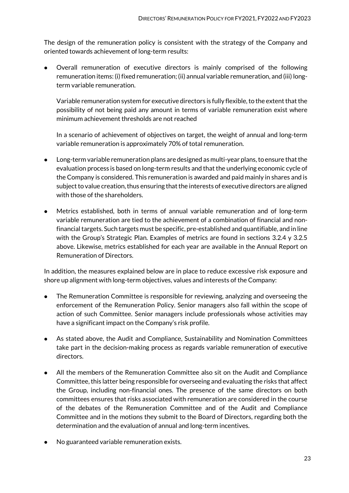The design of the remuneration policy is consistent with the strategy of the Company and oriented towards achievement of long-term results:

 Overall remuneration of executive directors is mainly comprised of the following remuneration items: (i) fixed remuneration; (ii) annual variable remuneration, and (iii) longterm variable remuneration.

Variable remuneration system for executive directors is fully flexible, to the extent that the possibility of not being paid any amount in terms of variable remuneration exist where minimum achievement thresholds are not reached

In a scenario of achievement of objectives on target, the weight of annual and long-term variable remuneration is approximately 70% of total remuneration.

- Long-term variable remuneration plans are designed as multi-year plans, to ensure that the evaluation process is based on long-term results and that the underlying economic cycle of the Company is considered. This remuneration is awarded and paid mainly in shares and is subject to value creation, thus ensuring that the interests of executive directors are aligned with those of the shareholders.
- Metrics established, both in terms of annual variable remuneration and of long-term variable remuneration are tied to the achievement of a combination of financial and nonfinancial targets. Such targets must be specific, pre-established and quantifiable, and in line with the Group's Strategic Plan. Examples of metrics are found in sections 3.2.4 y 3.2.5 above. Likewise, metrics established for each year are available in the Annual Report on Remuneration of Directors.

In addition, the measures explained below are in place to reduce excessive risk exposure and shore up alignment with long-term objectives, values and interests of the Company:

- The Remuneration Committee is responsible for reviewing, analyzing and overseeing the enforcement of the Remuneration Policy. Senior managers also fall within the scope of action of such Committee. Senior managers include professionals whose activities may have a significant impact on the Company's risk profile.
- As stated above, the Audit and Compliance, Sustainability and Nomination Committees take part in the decision-making process as regards variable remuneration of executive directors.
- All the members of the Remuneration Committee also sit on the Audit and Compliance Committee, this latter being responsible for overseeing and evaluating the risks that affect the Group, including non-financial ones. The presence of the same directors on both committees ensures that risks associated with remuneration are considered in the course of the debates of the Remuneration Committee and of the Audit and Compliance Committee and in the motions they submit to the Board of Directors, regarding both the determination and the evaluation of annual and long-term incentives.
- No guaranteed variable remuneration exists.